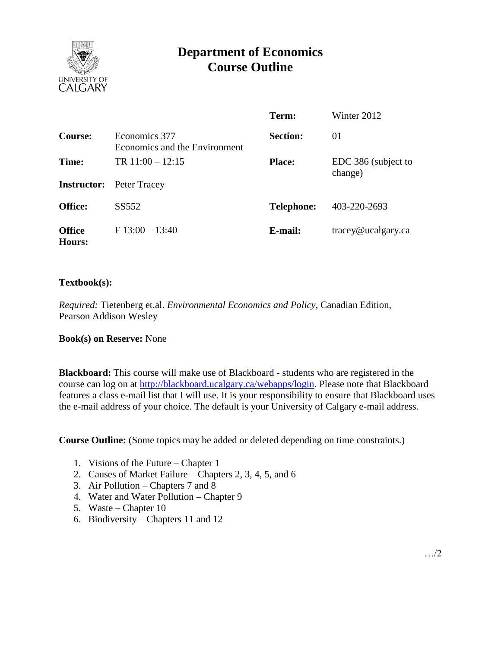

# **Department of Economics Course Outline**

|                         |                                                | Term:             | Winter 2012                    |
|-------------------------|------------------------------------------------|-------------------|--------------------------------|
| Course:                 | Economics 377<br>Economics and the Environment | <b>Section:</b>   | 01                             |
| Time:                   | TR $11:00 - 12:15$                             | <b>Place:</b>     | EDC 386 (subject to<br>change) |
|                         | <b>Instructor:</b> Peter Tracey                |                   |                                |
| <b>Office:</b>          | SS552                                          | <b>Telephone:</b> | 403-220-2693                   |
| <b>Office</b><br>Hours: | $F 13:00 - 13:40$                              | E-mail:           | $trace\$ <i>e</i> ucalgary.ca  |

### **Textbook(s):**

*Required:* Tietenberg et.al. *Environmental Economics and Policy*, Canadian Edition, Pearson Addison Wesley

#### **Book(s) on Reserve:** None

**Blackboard:** This course will make use of Blackboard - students who are registered in the course can log on at [http://blackboard.ucalgary.ca/webapps/login.](http://blackboard.ucalgary.ca/webapps/login) Please note that Blackboard features a class e-mail list that I will use. It is your responsibility to ensure that Blackboard uses the e-mail address of your choice. The default is your University of Calgary e-mail address.

**Course Outline:** (Some topics may be added or deleted depending on time constraints.)

- 1. Visions of the Future Chapter 1
- 2. Causes of Market Failure Chapters 2, 3, 4, 5, and 6
- 3. Air Pollution Chapters 7 and 8
- 4. Water and Water Pollution Chapter 9
- 5. Waste Chapter 10
- 6. Biodiversity Chapters 11 and 12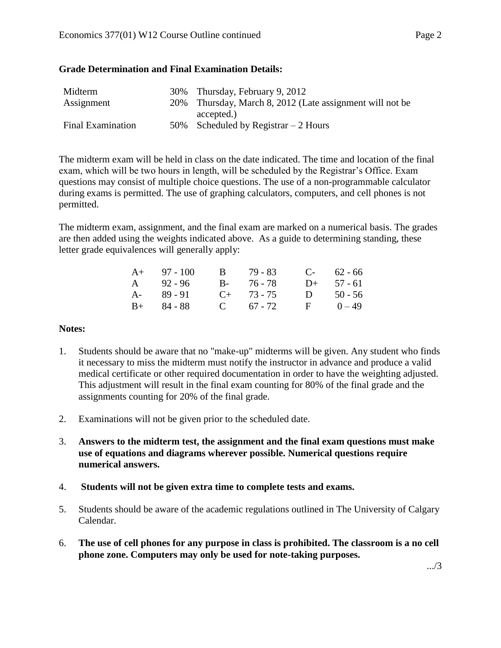### **Grade Determination and Final Examination Details:**

| Midterm                  | 30% Thursday, February 9, 2012                           |
|--------------------------|----------------------------------------------------------|
| Assignment               | 20% Thursday, March 8, 2012 (Late assignment will not be |
|                          | accepted.)                                               |
| <b>Final Examination</b> | 50% Scheduled by Registrar $-2$ Hours                    |

The midterm exam will be held in class on the date indicated. The time and location of the final exam, which will be two hours in length, will be scheduled by the Registrar's Office. Exam questions may consist of multiple choice questions. The use of a non-programmable calculator during exams is permitted. The use of graphing calculators, computers, and cell phones is not permitted.

The midterm exam, assignment, and the final exam are marked on a numerical basis. The grades are then added using the weights indicated above. As a guide to determining standing, these letter grade equivalences will generally apply:

| $A+ 97 - 100$ | $\mathbf{B}$ | 79 - 83         |              | $C-62-66$    |
|---------------|--------------|-----------------|--------------|--------------|
| A $92 - 96$   |              | $B - 76 - 78$   |              | $D+ 57 - 61$ |
| $A - 89 - 91$ |              | $C_{+}$ 73 - 75 | D            | $50 - 56$    |
| $B+ 84 - 88$  |              | $C = 67 - 72$   | $\mathbf{F}$ | $0 - 49$     |

#### **Notes:**

- 1. Students should be aware that no "make-up" midterms will be given. Any student who finds it necessary to miss the midterm must notify the instructor in advance and produce a valid medical certificate or other required documentation in order to have the weighting adjusted. This adjustment will result in the final exam counting for 80% of the final grade and the assignments counting for 20% of the final grade.
- 2. Examinations will not be given prior to the scheduled date.
- 3. **Answers to the midterm test, the assignment and the final exam questions must make use of equations and diagrams wherever possible. Numerical questions require numerical answers.**
- 4. **Students will not be given extra time to complete tests and exams.**
- 5. Students should be aware of the academic regulations outlined in The University of Calgary Calendar.
- 6. **The use of cell phones for any purpose in class is prohibited. The classroom is a no cell phone zone. Computers may only be used for note-taking purposes.**

.../3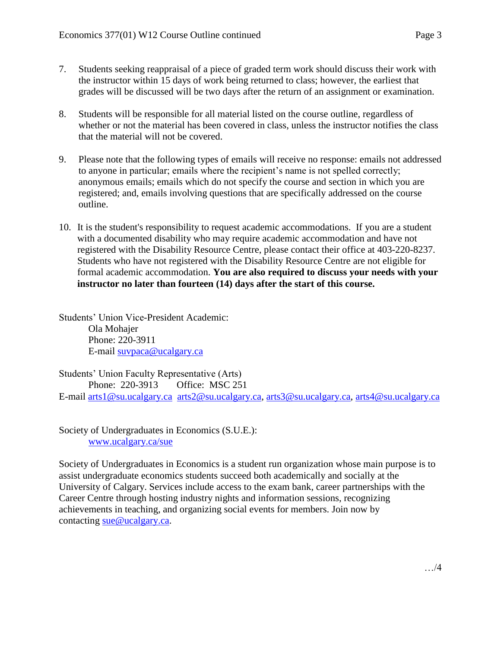- 7. Students seeking reappraisal of a piece of graded term work should discuss their work with the instructor within 15 days of work being returned to class; however, the earliest that grades will be discussed will be two days after the return of an assignment or examination.
- 8. Students will be responsible for all material listed on the course outline, regardless of whether or not the material has been covered in class, unless the instructor notifies the class that the material will not be covered.
- 9. Please note that the following types of emails will receive no response: emails not addressed to anyone in particular; emails where the recipient's name is not spelled correctly; anonymous emails; emails which do not specify the course and section in which you are registered; and, emails involving questions that are specifically addressed on the course outline.
- 10. It is the student's responsibility to request academic accommodations. If you are a student with a documented disability who may require academic accommodation and have not registered with the Disability Resource Centre, please contact their office at 403-220-8237. Students who have not registered with the Disability Resource Centre are not eligible for formal academic accommodation. **You are also required to discuss your needs with your instructor no later than fourteen (14) days after the start of this course.**

Students' Union Vice-President Academic: Ola Mohajer Phone: 220-3911 E-mail [suvpaca@ucalgary.ca](mailto:subpaca@ucalgary.ca)

Students' Union Faculty Representative (Arts) Phone: 220-3913 Office: MSC 251 E-mail [arts1@su.ucalgary.ca](mailto:arts1@su.ucalgary.ca) [arts2@su.ucalgary.ca,](mailto:arts2@su.ucalgary.ca) [arts3@su.ucalgary.ca,](mailto:arts3@su.ucalgary.ca) [arts4@su.ucalgary.ca](mailto:arts4@su.ucalgary.ca)

Society of Undergraduates in Economics (S.U.E.): [www.ucalgary.ca/sue](http://www.fp.ucalgary.ca/econ)

Society of Undergraduates in Economics is a student run organization whose main purpose is to assist undergraduate economics students succeed both academically and socially at the University of Calgary. Services include access to the exam bank, career partnerships with the Career Centre through hosting industry nights and information sessions, recognizing achievements in teaching, and organizing social events for members. Join now by contacting [sue@ucalgary.ca.](mailto:sue@ucalgary.ca)